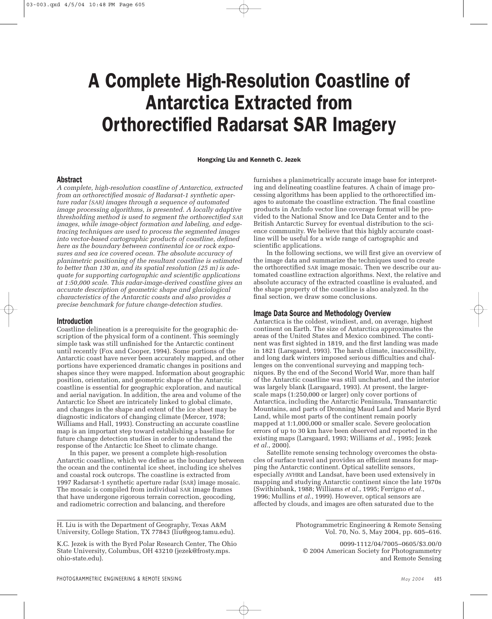# A Complete High-Resolution Coastline of Antarctica Extracted from Orthorectified Radarsat SAR Imagery

#### Hongxing Liu and Kenneth C. Jezek

# Abstract

*A complete, high-resolution coastline of Antarctica, extracted from an orthorectified mosaic of Radarsat-1 synthetic aperture radar (SAR) images through a sequence of automated image processing algorithms, is presented. A locally adaptive thresholding method is used to segment the orthorectified SAR images, while image-object formation and labeling, and edgetracing techniques are used to process the segmented images into vector-based cartographic products of coastline, defined here as the boundary between continental ice or rock exposures and sea ice covered ocean. The absolute accuracy of planimetric positioning of the resultant coastline is estimated to better than 130 m, and its spatial resolution (25 m) is adequate for supporting cartographic and scientific applications at 1:50,000 scale. This radar-image-derived coastline gives an accurate description of geometric shape and glaciological characteristics of the Antarctic coasts and also provides a precise benchmark for future change-detection studies.*

# Introduction

Coastline delineation is a prerequisite for the geographic description of the physical form of a continent. This seemingly simple task was still unfinished for the Antarctic continent until recently (Fox and Cooper, 1994). Some portions of the Antarctic coast have never been accurately mapped, and other portions have experienced dramatic changes in positions and shapes since they were mapped. Information about geographic position, orientation, and geometric shape of the Antarctic coastline is essential for geographic exploration, and nautical and aerial navigation. In addition, the area and volume of the Antarctic Ice Sheet are intricately linked to global climate, and changes in the shape and extent of the ice sheet may be diagnostic indicators of changing climate (Mercer, 1978; Williams and Hall, 1993). Constructing an accurate coastline map is an important step toward establishing a baseline for future change detection studies in order to understand the response of the Antarctic Ice Sheet to climate change.

In this paper, we present a complete high-resolution Antarctic coastline, which we define as the boundary between the ocean and the continental ice sheet, including ice shelves and coastal rock outcrops. The coastline is extracted from 1997 Radarsat-1 synthetic aperture radar (SAR) image mosaic. The mosaic is compiled from individual SAR image frames that have undergone rigorous terrain correction, geocoding, and radiometric correction and balancing, and therefore

furnishes a planimetrically accurate image base for interpreting and delineating coastline features. A chain of image processing algorithms has been applied to the orthorectified images to automate the coastline extraction. The final coastline products in ArcInfo vector line coverage format will be provided to the National Snow and Ice Data Center and to the British Antarctic Survey for eventual distribution to the science community. We believe that this highly accurate coastline will be useful for a wide range of cartographic and scientific applications.

In the following sections, we will first give an overview of the image data and summarize the techniques used to create the orthorectified SAR image mosaic. Then we describe our automated coastline extraction algorithms. Next, the relative and absolute accuracy of the extracted coastline is evaluated, and the shape property of the coastline is also analyzed. In the final section, we draw some conclusions.

#### Image Data Source and Methodology Overview

Antarctica is the coldest, windiest, and, on average, highest continent on Earth. The size of Antarctica approximates the areas of the United States and Mexico combined. The continent was first sighted in 1819, and the first landing was made in 1821 (Larsgaard, 1993). The harsh climate, inaccessibility, and long dark winters imposed serious difficulties and challenges on the conventional surveying and mapping techniques. By the end of the Second World War, more than half of the Antarctic coastline was still uncharted, and the interior was largely blank (Larsgaard, 1993). At present, the largerscale maps (1:250,000 or larger) only cover portions of Antarctica, including the Antarctic Peninsula, Transantarctic Mountains, and parts of Dronning Maud Land and Marie Byrd Land, while most parts of the continent remain poorly mapped at 1:1,000,000 or smaller scale. Severe geolocation errors of up to 30 km have been observed and reported in the existing maps (Larsgaard, 1993; Williams *et al.*, 1995; Jezek *et al.*, 2000).

Satellite remote sensing technology overcomes the obstacles of surface travel and provides an efficient means for mapping the Antarctic continent. Optical satellite sensors, especially AVHRR and Landsat, have been used extensively in mapping and studying Antarctic continent since the late 1970s (Swithinbank, 1988; Williams *et al.*, 1995; Ferrigno *et al.*, 1996; Mullins *et al.*, 1999). However, optical sensors are affected by clouds, and images are often saturated due to the

0099-1112/04/7005–0605/\$3.00/0 © 2004 American Society for Photogrammetry and Remote Sensing

H. Liu is with the Department of Geography, Texas A&M University, College Station, TX 77843 (liu@geog.tamu.edu).

K.C. Jezek is with the Byrd Polar Research Center, The Ohio State University, Columbus, OH 43210 (jezek@frosty.mps. ohio-state.edu).

Photogrammetric Engineering & Remote Sensing Vol. 70, No. 5, May 2004, pp. 605–616.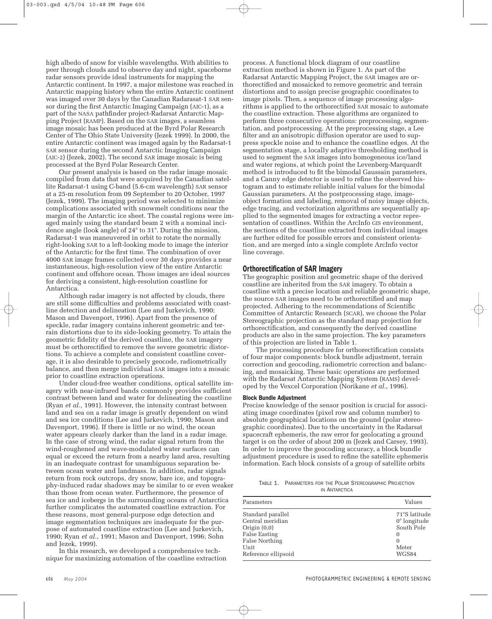high albedo of snow for visible wavelengths. With abilities to peer through clouds and to observe day and night, spaceborne radar sensors provide ideal instruments for mapping the Antarctic continent. In 1997, a major milestone was reached in Antarctic mapping history when the entire Antarctic continent was imaged over 30 days by the Canadian Radarasat-1 SAR sensor during the first Antarctic Imaging Campaign (AIC-1), as a part of the NASA pathfinder project-Radarsat Antarctic Mapping Project (RAMP). Based on the SAR images, a seamless image mosaic has been produced at the Byrd Polar Research Center of The Ohio State University (Jezek 1999). In 2000, the entire Antarctic continent was imaged again by the Radarsat-1 SAR sensor during the second Antarctic Imaging Campaign (AIC-2) (Jezek, 2002). The second SAR image mosaic is being processed at the Byrd Polar Research Center.

Our present analysis is based on the radar image mosaic compiled from data that were acquired by the Canadian satellite Radarsat-1 using C-band (5.6-cm wavelength) SAR sensor at a 25-m resolution from 09 September to 20 October, 1997 (Jezek, 1999). The imaging period was selected to minimize complications associated with snowmelt conditions near the margin of the Antarctic ice sheet. The coastal regions were imaged mainly using the standard beam 2 with a nominal incidence angle (look angle) of 24° to 31°. During the mission, Radarsat-1 was maneuvered in orbit to rotate the normally right-looking SAR to a left-looking mode to image the interior of the Antarctic for the first time. The combination of over 4000 SAR image frames collected over 30 days provides a near instantaneous, high-resolution view of the entire Antarctic continent and offshore ocean. Those images are ideal sources for deriving a consistent, high-resolution coastline for Antarctica.

Although radar imagery is not affected by clouds, there are still some difficulties and problems associated with coastline detection and delineation (Lee and Jurkevich, 1990; Mason and Davenport, 1996). Apart from the presence of speckle, radar imagery contains inherent geometric and terrain distortions due to its side-looking geometry. To attain the geometric fidelity of the derived coastline, the SAR imagery must be orthorectified to remove the severe geometric distortions. To achieve a complete and consistent coastline coverage, it is also desirable to precisely geocode, radiometrically balance, and then merge individual SAR images into a mosaic prior to coastline extraction operations.

Under cloud-free weather conditions, optical satellite imagery with near-infrared bands commonly provides sufficient contrast between land and water for delineating the coastline (Ryan *et al.*, 1991). However, the intensity contrast between land and sea on a radar image is greatly dependent on wind and sea ice conditions (Lee and Jurkevich, 1990; Mason and Davenport, 1996). If there is little or no wind, the ocean water appears clearly darker than the land in a radar image. In the case of strong wind, the radar signal return from the wind-roughened and wave-modulated water surfaces can equal or exceed the return from a nearby land area, resulting in an inadequate contrast for unambiguous separation between ocean water and landmass. In addition, radar signals return from rock outcrops, dry snow, bare ice, and topography-induced radar shadows may be similar to or even weaker than those from ocean water. Furthermore, the presence of sea ice and icebergs in the surrounding oceans of Antarctica further complicates the automated coastline extraction. For these reasons, most general-purpose edge detection and image segmentation techniques are inadequate for the purpose of automated coastline extraction (Lee and Jurkevich, 1990; Ryan *et al.*, 1991; Mason and Davenport, 1996; Sohn and Jezek, 1999).

In this research, we developed a comprehensive technique for maximizing automation of the coastline extraction process. A functional block diagram of our coastline extraction method is shown in Figure 1. As part of the Radarsat Antarctic Mapping Project, the SAR images are orthorectified and mosaicked to remove geometric and terrain distortions and to assign precise geographic coordinates to image pixels. Then, a sequence of image processing algorithms is applied to the orthorectified SAR mosaic to automate the coastline extraction. These algorithms are organized to perform three consecutive operations: preprocessing, segmentation, and postprocessing. At the preprocessing stage, a Lee filter and an anisotropic diffusion operator are used to suppress speckle noise and to enhance the coastline edges. At the segmentation stage, a locally adaptive thresholding method is used to segment the SAR images into homogeneous ice/land and water regions, at which point the Levenberg-Marquardt method is introduced to fit the bimodal Gaussain parameters, and a Canny edge detector is used to refine the observed histogram and to estimate reliable initial values for the bimodal Gaussian parameters. At the postprocessing stage, imageobject formation and labeling, removal of noisy image objects, edge tracing, and vectorization algorithms are sequentially applied to the segmented images for extracting a vector representation of coastlines. Within the ArcInfo GIS environment, the sections of the coastline extracted from individual images are further edited for possible errors and consistent orientation, and are merged into a single complete ArcInfo vector line coverage.

# Orthorectification of SAR Imagery

The geographic position and geometric shape of the derived coastline are inherited from the SAR imagery. To obtain a coastline with a precise location and reliable geometric shape, the source SAR images need to be orthorectified and map projected. Adhering to the recommendations of Scientific Committee of Antarctic Research (SCAR), we choose the Polar Stereographic projection as the standard map projection for orthorectification, and consequently the derived coastline products are also in the same projection. The key parameters of this projection are listed in Table 1.

The processing procedure for orthorectification consists of four major components: block bundle adjustment, terrain correction and geocoding, radiometric correction and balancing, and mosaicking. These basic operations are performed with the Radarsat Antarctic Mapping System (RAMS) developed by the Vexcel Corporation (Norikane *et al.*, 1996).

#### Block Bundle Adjustment

Precise knowledge of the sensor position is crucial for associating image coordinates (pixel row and column number) to absolute geographical locations on the ground (polar stereographic coordinates). Due to the uncertainty in the Radarsat spacecraft ephemeris, the raw error for geolocating a ground target is on the order of about 200 m (Jezek and Carsey, 1993). In order to improve the geocoding accuracy, a block bundle adjustment procedure is used to refine the satellite ephemeris information. Each block consists of a group of satellite orbits

TABLE 1. PARAMETERS FOR THE POLAR STEREOGRAPHIC PROJECTION IN ANTARCTICA

| Parameters            | Values              |
|-----------------------|---------------------|
| Standard parallel     | 71°S latitude       |
| Central meridian      | $0^\circ$ longitude |
| Origin $(0,0)$        | South Pole          |
| <b>False Easting</b>  | 0                   |
| <b>False Northing</b> | 0                   |
| Unit                  | Meter               |
| Reference ellipsoid   | WGS84               |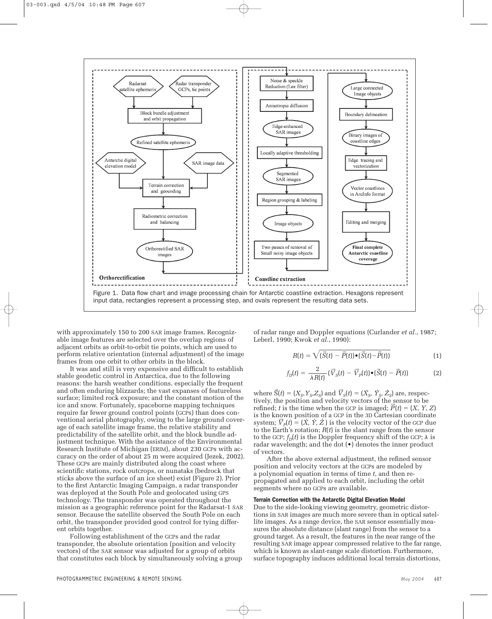

with approximately 150 to 200 SAR image frames. Recognizable image features are selected over the overlap regions of adjacent orbits as orbit-to-orbit tie points, which are used to perform relative orientation (internal adjustment) of the image frames from one orbit to other orbits in the block.

It was and still is very expensive and difficult to establish stable geodetic control in Antarctica, due to the following reasons: the harsh weather conditions, especially the frequent and often enduring blizzards; the vast expanses of featureless surface; limited rock exposure; and the constant motion of the ice and snow. Fortunately, spaceborne mapping techniques require far fewer ground control points (GCPs) than does conventional aerial photography, owing to the large ground coverage of each satellite image frame, the relative stability and predictability of the satellite orbit, and the block bundle adjustment technique. With the assistance of the Environmental Research Institute of Michigan (ERIM), about 230 GCPs with accuracy on the order of about 25 m were acquired (Jezek, 2002). These GCPs are mainly distributed along the coast where scientific stations, rock outcrops, or nunataks (bedrock that sticks above the surface of an ice sheet) exist (Figure 2). Prior to the first Antarctic Imaging Campaign, a radar transponder was deployed at the South Pole and geolocated using GPS technology. The transponder was operated throughout the mission as a geographic reference point for the Radarsat-1 SAR sensor. Because the satellite observed the South Pole on each orbit, the transponder provided good control for tying different orbits together.

Following establishment of the GCPs and the radar transponder, the absolute orientation (position and velocity vectors) of the SAR sensor was adjusted for a group of orbits that constitutes each block by simultaneously solving a group of radar range and Doppler equations (Curlander *et al.*, 1987; Leberl, 1990; Kwok *et al.*, 1990):

$$
R(t) = \sqrt{(\vec{S}(t) - \vec{P}(t)) \bullet (\vec{S}(t) - \vec{P}(t))}
$$
\n(1)

$$
f_D(t) = \frac{2}{\lambda R(t)} (\vec{V}_S(t) - \vec{V}_P(t)) \bullet (\vec{S}(t) - \vec{P}(t))
$$
 (2)

where  $\vec{S}(t) = (X_s, Y_s, Z_s)$  and  $\vec{V}_s(t) = (\dot{X}_s, \dot{Y}_s, \dot{Z}_s)$  are, respectively, the position and velocity vectors of the sensor to be refined; *t* is the time when the GCP is imaged;  $\vec{P}(t) = (X, Y, Z)$ is the known position of a GCP in the 3D Cartesian coordinate system;  $\vec{V}_P(t) = (\vec{X}, \vec{Y}, \vec{Z})$  is the velocity vector of the GCP due to the Earth's rotation; *R*(*t*) is the slant range from the sensor to the GCP;  $f_D(t)$  is the Doppler frequency shift of the GCP;  $\lambda$  is radar wavelength; and the dot (•) denotes the inner product of vectors.

After the above external adjustment, the refined sensor position and velocity vectors at the GCPs are modeled by a polynomial equation in terms of time *t*, and then repropagated and applied to each orbit, including the orbit segments where no GCPs are available.

#### Terrain Correction with the Antarctic Digital Elevation Model

Due to the side-looking viewing geometry, geometric distortions in SAR images are much more severe than in optical satellite images. As a range device, the SAR sensor essentially measures the absolute distance (slant range) from the sensor to a ground target. As a result, the features in the near range of the resulting SAR image appear compressed relative to the far range, which is known as slant-range scale distortion. Furthermore, surface topography induces additional local terrain distortions,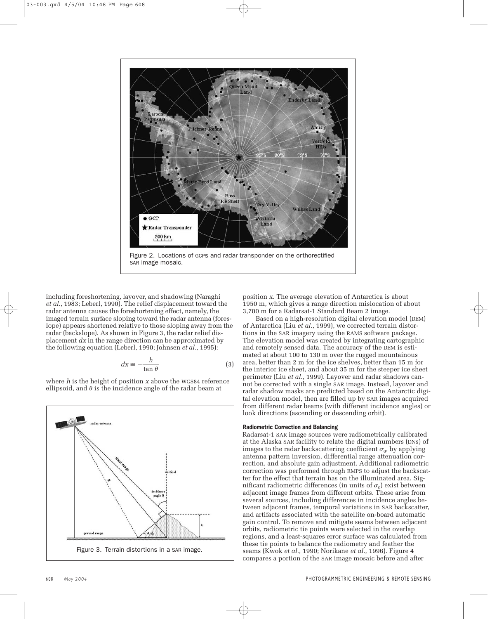

including foreshortening, layover, and shadowing (Naraghi *et al.*, 1983; Leberl, 1990). The relief displacement toward the radar antenna causes the foreshortening effect, namely, the imaged terrain surface sloping toward the radar antenna (foreslope) appears shortened relative to those sloping away from the radar (backslope). As shown in Figure 3, the radar relief displacement *dx* in the range direction can be approximated by the following equation (Leberl, 1990; Johnsen *et al.*, 1995):

$$
dx \approx -\frac{h}{\tan \theta} \tag{3}
$$

where *h* is the height of position *x* above the WGS84 reference ellipsoid, and  $\theta$  is the incidence angle of the radar beam at



position *x*. The average elevation of Antarctica is about 1950 m, which gives a range direction mislocation of about 3,700 m for a Radarsat-1 Standard Beam 2 image.

Based on a high-resolution digital elevation model (DEM) of Antarctica (Liu *et al.*, 1999), we corrected terrain distortions in the SAR imagery using the RAMS software package. The elevation model was created by integrating cartographic and remotely sensed data. The accuracy of the DEM is estimated at about 100 to 130 m over the rugged mountainous area, better than 2 m for the ice shelves, better than 15 m for the interior ice sheet, and about 35 m for the steeper ice sheet perimeter (Liu *et al.*, 1999). Layover and radar shadows cannot be corrected with a single SAR image. Instead, layover and radar shadow masks are predicted based on the Antarctic digital elevation model, then are filled up by SAR images acquired from different radar beams (with different incidence angles) or look directions (ascending or descending orbit).

# Radiometric Correction and Balancing

Radarsat-1 SAR image sources were radiometrically calibrated at the Alaska SAR facility to relate the digital numbers (DNs) of images to the radar backscattering coefficient  $\sigma_0$ , by applying antenna pattern inversion, differential range attenuation correction, and absolute gain adjustment. Additional radiometric correction was performed through RMPS to adjust the backscatter for the effect that terrain has on the illuminated area. Significant radiometric differences (in units of  $\sigma_0$ ) exist between adjacent image frames from different orbits. These arise from several sources, including differences in incidence angles between adjacent frames, temporal variations in SAR backscatter, and artifacts associated with the satellite on-board automatic gain control. To remove and mitigate seams between adjacent orbits, radiometric tie points were selected in the overlap regions, and a least-squares error surface was calculated from these tie points to balance the radiometry and feather the seams (Kwok *et al.*, 1990; Norikane *et al.*, 1996). Figure 4 compares a portion of the SAR image mosaic before and after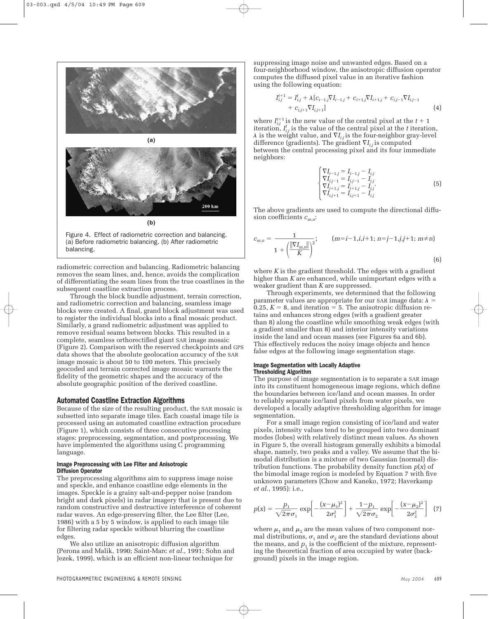

Figure 4. Effect of radiometric correction and balancing. (a) Before radiometric balancing. (b) After radiometric balancing.

radiometric correction and balancing. Radiometric balancing removes the seam lines, and, hence, avoids the complication of differentiating the seam lines from the true coastlines in the subsequent coastline extraction process.

Through the block bundle adjustment, terrain correction, and radiometric correction and balancing, seamless image blocks were created. A final, grand block adjustment was used to register the individual blocks into a final mosaic product. Similarly, a grand radiometric adjustment was applied to remove residual seams between blocks. This resulted in a complete, seamless orthorectified giant SAR image mosaic (Figure 2). Comparison with the reserved checkpoints and GPS data shows that the absolute geolocation accuracy of the SAR image mosaic is about 50 to 100 meters. This precisely geocoded and terrain corrected image mosaic warrants the fidelity of the geometric shapes and the accuracy of the absolute geographic position of the derived coastline.

# Automated Coastline Extraction Algorithms

Because of the size of the resulting product, the SAR mosaic is subsetted into separate image tiles. Each coastal image tile is processed using an automated coastline extraction procedure (Figure 1), which consists of three consecutive processing stages: preprocessing, segmentation, and postprocessing. We have implemented the algorithms using C programming language.

#### Image Preprocessing with Lee Filter and Anisotropic Diffusion Operator

The preprocessing algorithms aim to suppress image noise and speckle, and enhance coastline edge elements in the images. Speckle is a grainy salt-and-pepper noise (random bright and dark pixels) in radar imagery that is present due to random constructive and destructive interference of coherent radar waves. An edge-preserving filter, the Lee filter (Lee, 1986) with a 5 by 5 window, is applied to each image tile for filtering radar speckle without blurring the coastline edges.

We also utilize an anisotropic diffusion algorithm (Perona and Malik, 1990; Saint-Marc *et al.*, 1991; Sohn and Jezek, 1999), which is an efficient non-linear technique for

PHOTOGRAMMETRIC ENGINEERING & REMOTE SENSING **And Access 2004 609** May 2004 609

suppressing image noise and unwanted edges. Based on a four-neighborhood window, the anisotropic diffusion operator computes the diffused pixel value in an iterative fashion using the following equation:

$$
I_{i,j}^{t+1} = I_{i,j}^t + \lambda [c_{i-1,j} \nabla I_{i-1,j} + c_{i+1,j} \nabla I_{i+1,j} + c_{i,j-1} \nabla I_{i,j-1} + c_{i,j+1} \nabla I_{i,j+1}]
$$
\n(4)

where  $I_{i,j}^{t+1}$  is the new value of the central pixel at the  $t+1$ iteration,  $I_{i,j}^t$  is the value of the central pixel at the  $t$  iteration,  $\lambda$  is the weight value, and  $\nabla I_{i,j}$  is the four-neighbor gray-level difference (gradients). The gradient  $\nabla I_{i,j}$  is computed between the central processing pixel and its four immediate neighbors:

$$
\begin{cases}\n\nabla I_{i-1,j} = I_{i-1,j} - I_{i,j} \n\nabla I_{i,j-1} = I_{i,j-1} - I_{i,j} \n\nabla I_{i+1,j} = I_{i+1,j} - I_{i,j} \n\nabla I_{i,j+1} = I_{i,j+1} - I_{i,j}\n\end{cases}
$$
\n(5)

The above gradients are used to compute the directional diffusion coefficients  $c_{m,n}$ :

$$
c_{m,n} = \frac{1}{1 + \left(\frac{\|\nabla I_{m,n}\|}{K}\right)^2}; \qquad (m = i - 1, i, i + 1; n = j - 1, j, j + 1; m \neq n)
$$
\n(6)

where *K* is the gradient threshold. The edges with a gradient higher than *K* are enhanced, while unimportant edges with a weaker gradient than *K* are suppressed.

Through experiments, we determined that the following parameter values are appropriate for our SAR image data:  $\lambda =$ 0.25,  $K = 8$ , and iteration  $= 5$ . The anisotropic diffusion retains and enhances strong edges (with a gradient greater than 8) along the coastline while smoothing weak edges (with a gradient smaller than 8) and interior intensity variations inside the land and ocean masses (see Figures 6a and 6b). This effectively reduces the noisy image objects and hence false edges at the following image segmentation stage.

#### Image Segmentation with Locally Adaptive Thresholding Algorithm

The purpose of image segmentation is to separate a SAR image into its constituent homogeneous image regions, which define the boundaries between ice/land and ocean masses. In order to reliably separate ice/land pixels from water pixels, we developed a locally adaptive thresholding algorithm for image segmentation.

For a small image region consisting of ice/land and water pixels, intensity values tend to be grouped into two dominant modes (lobes) with relatively distinct mean values. As shown in Figure 5, the overall histogram generally exhibits a bimodal shape, namely, two peaks and a valley. We assume that the bimodal distribution is a mixture of two Gaussian (normal) distribution functions. The probability density function *p*(*x*) of the bimodal image region is modeled by Equation 7 with five unknown parameters (Chow and Kaneko, 1972; Haverkamp *et al.*, 1995): i.e.,

$$
p(x) = \frac{p_1}{\sqrt{2\pi}\sigma_1} \exp\left[-\frac{(x-\mu_1)^2}{2\sigma_1^2}\right] + \frac{1-p_1}{\sqrt{2\pi}\sigma_2} \exp\left[-\frac{(x-\mu_2)^2}{2\sigma_2^2}\right] \tag{7}
$$

where  $\mu_1$  and  $\mu_2$  are the mean values of two component normal distributions,  $\sigma_1$  and  $\sigma_2$  are the standard deviations about the means, and  $p_1$  is the coefficient of the mixture, representing the theoretical fraction of area occupied by water (background) pixels in the image region.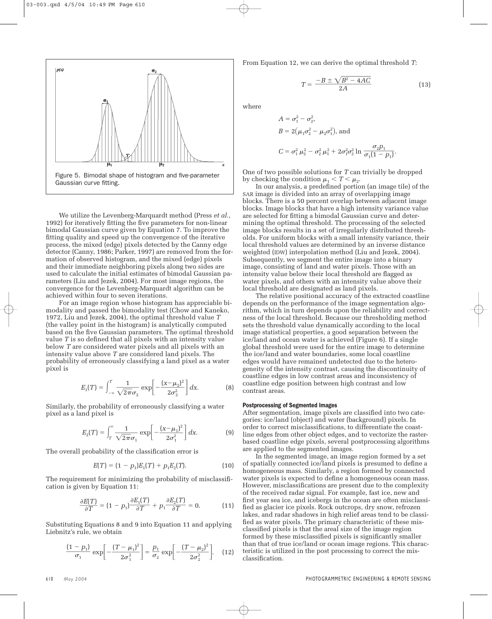

We utilize the Levenberg-Marquardt method (Press *et al.*, 1992) for iteratively fitting the five parameters for non-linear bimodal Gaussian curve given by Equation 7. To improve the fitting quality and speed up the convergence of the iterative process, the mixed (edge) pixels detected by the Canny edge detector (Canny, 1986; Parker, 1997) are removed from the formation of observed histogram, and the mixed (edge) pixels and their immediate neighboring pixels along two sides are used to calculate the initial estimates of bimodal Gaussian parameters (Liu and Jezek, 2004). For most image regions, the convergence for the Levenberg-Marquardt algorithm can be achieved within four to seven iterations.

For an image region whose histogram has appreciable bimodality and passed the bimodality test (Chow and Kaneko, 1972, Liu and Jezek, 2004), the optimal threshold value *T* (the valley point in the histogram) is analytically computed based on the five Gaussian parameters. The optimal threshold value *T* is so defined that all pixels with an intensity value below *T* are considered water pixels and all pixels with an intensity value above *T* are considered land pixels. The probability of erroneously classifying a land pixel as a water pixel is

$$
E_1(T) = \int_{-\infty}^T \frac{1}{\sqrt{2\pi}\sigma_2} \exp\left[-\frac{(x-\mu_2)^2}{2\sigma_2^2}\right] dx.
$$
 (8)

Similarly, the probability of erroneously classifying a water pixel as a land pixel is

$$
E_2(T) = \int_T^{\infty} \frac{1}{\sqrt{2\pi}\sigma_1} \exp\left[-\frac{(x-\mu_1)^2}{2\sigma_1^2}\right] dx.
$$
 (9)

The overall probability of the classification error is

$$
E(T) = (1 - p_1)E_1(T) + p_1E_2(T). \tag{10}
$$

The requirement for minimizing the probability of misclassification is given by Equation 11:

$$
\frac{\partial E(T)}{\partial T} = (1 - p_1) \frac{\partial E_1(T)}{\partial T} + p_1 \frac{\partial E_2(T)}{\partial T} = 0.
$$
 (11)

Substituting Equations 8 and 9 into Equation 11 and applying Liebnitz's rule, we obtain

$$
\frac{(1-p_1)}{\sigma_1} \exp\left[-\frac{(T-\mu_1)^2}{2\sigma_1^2}\right] = \frac{p_1}{\sigma_2} \exp\left[-\frac{(T-\mu_2)^2}{2\sigma_2^2}\right].
$$
 (12)

From Equation 12, we can derive the optimal threshold *T*:

$$
T = \frac{-B \pm \sqrt{B^2 - 4AC}}{2A} \tag{13}
$$

where

$$
A = \sigma_1^2 - \sigma_2^2,
$$
  
\n
$$
B = 2(\mu_1 \sigma_2^2 - \mu_2 \sigma_1^2),
$$
 and  
\n
$$
C = \sigma_1^2 \mu_2^2 - \sigma_2^2 \mu_1^2 + 2\sigma_1^2 \sigma_2^2 \ln \frac{\sigma_2 p_1}{\sigma_1 (1 - p_1)}.
$$

One of two possible solutions for *T* can trivially be dropped by checking the condition  $\mu_1 < T < \mu_2$ .

In our analysis, a predefined portion (an image tile) of the SAR image is divided into an array of overlapping image blocks. There is a 50 percent overlap between adjacent image blocks. Image blocks that have a high intensity variance value are selected for fitting a bimodal Gaussian curve and determining the optimal threshold. The processing of the selected image blocks results in a set of irregularly distributed thresholds. For uniform blocks with a small intensity variance, their local threshold values are determined by an inverse distance weighted (IDW) interpolation method (Liu and Jezek, 2004). Subsequently, we segment the entire image into a binary image, consisting of land and water pixels. Those with an intensity value below their local threshold are flagged as water pixels, and others with an intensity value above their local threshold are designated as land pixels.

The relative positional accuracy of the extracted coastline depends on the performance of the image segmentation algorithm, which in turn depends upon the reliability and correctness of the local threshold. Because our thresholding method sets the threshold value dynamically according to the local image statistical properties, a good separation between the ice/land and ocean water is achieved (Figure 6). If a single global threshold were used for the entire image to determine the ice/land and water boundaries, some local coastline edges would have remained undetected due to the heterogeneity of the intensity contrast, causing the discontinuity of coastline edges in low contrast areas and inconsistency of coastline edge position between high contrast and low contrast areas.

#### Postprocessing of Segmented Images

After segmentation, image pixels are classified into two categories: ice/land (object) and water (background) pixels. In order to correct misclassifications, to differentiate the coastline edges from other object edges, and to vectorize the rasterbased coastline edge pixels, several postprocessing algorithms are applied to the segmented images.

In the segmented image, an image region formed by a set of spatially connected ice/land pixels is presumed to define a homogeneous mass. Similarly, a region formed by connected water pixels is expected to define a homogeneous ocean mass. However, misclassifications are present due to the complexity of the received radar signal. For example, fast ice, new and first year sea ice, and icebergs in the ocean are often misclassified as glacier ice pixels. Rock outcrops, dry snow, refrozen lakes, and radar shadows in high relief areas tend to be classified as water pixels. The primary characteristic of these misclassified pixels is that the areal size of the image region formed by these misclassified pixels is significantly smaller than that of true ice/land or ocean image regions. This characteristic is utilized in the post processing to correct the misclassification.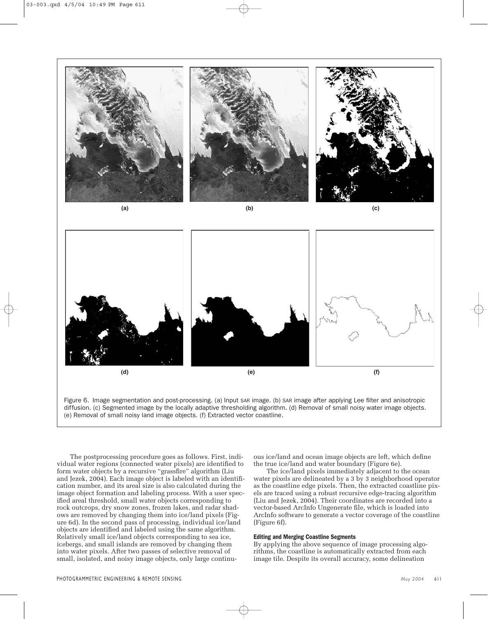

diffusion. (c) Segmented image by the locally adaptive thresholding algorithm. (d) Removal of small noisy water image objects. (e) Removal of small noisy land image objects. (f) Extracted vector coastline.

The postprocessing procedure goes as follows. First, individual water regions (connected water pixels) are identified to form water objects by a recursive "grassfire" algorithm (Liu and Jezek, 2004). Each image object is labeled with an identification number, and its areal size is also calculated during the image object formation and labeling process. With a user specified areal threshold, small water objects corresponding to rock outcrops, dry snow zones, frozen lakes, and radar shadows are removed by changing them into ice/land pixels (Figure 6d). In the second pass of processing, individual ice/land objects are identified and labeled using the same algorithm. Relatively small ice/land objects corresponding to sea ice, icebergs, and small islands are removed by changing them into water pixels. After two passes of selective removal of small, isolated, and noisy image objects, only large continuous ice/land and ocean image objects are left, which define the true ice/land and water boundary (Figure 6e).

The ice/land pixels immediately adjacent to the ocean water pixels are delineated by a 3 by 3 neighborhood operator as the coastline edge pixels. Then, the extracted coastline pixels are traced using a robust recursive edge-tracing algorithm (Liu and Jezek, 2004). Their coordinates are recorded into a vector-based ArcInfo Ungenerate file, which is loaded into ArcInfo software to generate a vector coverage of the coastline (Figure 6f).

# Editing and Merging Coastline Segments

By applying the above sequence of image processing algorithms, the coastline is automatically extracted from each image tile. Despite its overall accuracy, some delineation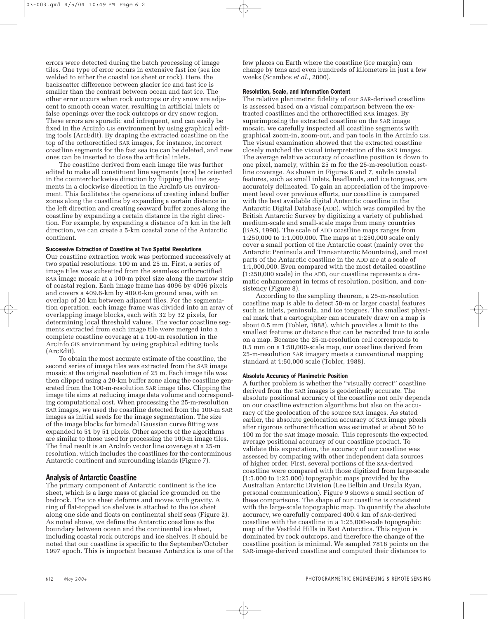errors were detected during the batch processing of image tiles. One type of error occurs in extensive fast ice (sea ice welded to either the coastal ice sheet or rock). Here, the backscatter difference between glacier ice and fast ice is smaller than the contrast between ocean and fast ice. The other error occurs when rock outcrops or dry snow are adjacent to smooth ocean water, resulting in artificial inlets or false openings over the rock outcrops or dry snow region. These errors are sporadic and infrequent, and can easily be fixed in the ArcInfo GIS environment by using graphical editing tools (ArcEdit). By draping the extracted coastline on the top of the orthorectified SAR images, for instance, incorrect coastline segments for the fast sea ice can be deleted, and new ones can be inserted to close the artificial inlets.

The coastline derived from each image tile was further edited to make all constituent line segments (arcs) be oriented in the counterclockwise direction by flipping the line segments in a clockwise direction in the ArcInfo GIS environment. This facilitates the operations of creating inland buffer zones along the coastline by expanding a certain distance in the left direction and creating seaward buffer zones along the coastline by expanding a certain distance in the right direction. For example, by expanding a distance of 5 km in the left direction, we can create a 5-km coastal zone of the Antarctic continent.

## Successive Extraction of Coastline at Two Spatial Resolutions

Our coastline extraction work was performed successively at two spatial resolutions: 100 m and 25 m. First, a series of image tiles was subsetted from the seamless orthorectified SAR image mosaic at a 100-m pixel size along the narrow strip of coastal region. Each image frame has 4096 by 4096 pixels and covers a 409.6-km by 409.6-km ground area, with an overlap of 20 km between adjacent tiles. For the segmentation operation, each image frame was divided into an array of overlapping image blocks, each with 32 by 32 pixels, for determining local threshold values. The vector coastline segments extracted from each image tile were merged into a complete coastline coverage at a 100-m resolution in the ArcInfo GIS environment by using graphical editing tools (ArcEdit).

To obtain the most accurate estimate of the coastline, the second series of image tiles was extracted from the SAR image mosaic at the original resolution of 25 m. Each image tile was then clipped using a 20-km buffer zone along the coastline generated from the 100-m-resolution SAR image tiles. Clipping the image tile aims at reducing image data volume and corresponding computational cost. When processing the 25-m-resolution SAR images, we used the coastline detected from the 100-m SAR images as initial seeds for the image segmentation. The size of the image blocks for bimodal Gaussian curve fitting was expanded to 51 by 51 pixels. Other aspects of the algorithms are similar to those used for processing the 100-m image tiles. The final result is an ArcInfo vector line coverage at a 25-m resolution, which includes the coastlines for the conterminous Antarctic continent and surrounding islands (Figure 7).

# Analysis of Antarctic Coastline

The primary component of Antarctic continent is the ice sheet, which is a large mass of glacial ice grounded on the bedrock. The ice sheet deforms and moves with gravity. A ring of flat-topped ice shelves is attached to the ice sheet along one side and floats on continental shelf seas (Figure 2). As noted above, we define the Antarctic coastline as the boundary between ocean and the continental ice sheet, including coastal rock outcrops and ice shelves. It should be noted that our coastline is specific to the September/October 1997 epoch. This is important because Antarctica is one of the few places on Earth where the coastline (ice margin) can change by tens and even hundreds of kilometers in just a few weeks (Scambos *et al.*, 2000).

## Resolution, Scale, and Information Content

The relative planimetric fidelity of our SAR-derived coastline is assessed based on a visual comparison between the extracted coastlines and the orthorectified SAR images. By superimposing the extracted coastline on the SAR image mosaic, we carefully inspected all coastline segments with graphical zoom-in, zoom-out, and pan tools in the ArcInfo GIS. The visual examination showed that the extracted coastline closely matched the visual interpretation of the SAR images. The average relative accuracy of coastline position is down to one pixel, namely, within 25 m for the 25-m-resolution coastline coverage. As shown in Figures 6 and 7, subtle coastal features, such as small inlets, headlands, and ice tongues, are accurately delineated. To gain an appreciation of the improvement level over previous efforts, our coastline is compared with the best available digital Antarctic coastline in the Antarctic Digital Database (ADD), which was compiled by the British Antarctic Survey by digitizing a variety of published medium-scale and small-scale maps from many countries (BAS, 1998). The scale of ADD coastline maps ranges from 1:250,000 to 1:1,000,000. The maps at 1:250,000 scale only cover a small portion of the Antarctic coast (mainly over the Antarctic Peninsula and Transantarctic Mountains), and most parts of the Antarctic coastline in the ADD are at a scale of 1:1,000,000. Even compared with the most detailed coastline (1:250,000 scale) in the ADD, our coastline represents a dramatic enhancement in terms of resolution, position, and consistency (Figure 8).

According to the sampling theorem, a 25-m-resolution coastline map is able to detect 50-m or larger coastal features such as inlets, peninsula, and ice tongues. The smallest physical mark that a cartographer can accurately draw on a map is about 0.5 mm (Tobler, 1988), which provides a limit to the smallest features or distance that can be recorded true to scale on a map. Because the 25-m-resolution cell corresponds to 0.5 mm on a 1:50,000-scale map, our coastline derived from 25-m-resolution SAR imagery meets a conventional mapping standard at 1:50,000 scale (Tobler, 1988).

#### Absolute Accuracy of Planimetric Position

A further problem is whether the "visually correct" coastline derived from the SAR images is geodetically accurate. The absolute positional accuracy of the coastline not only depends on our coastline extraction algorithms but also on the accuracy of the geolocation of the source SAR images. As stated earlier, the absolute geolocation accuracy of SAR image pixels after rigorous orthorectification was estimated at about 50 to 100 m for the SAR image mosaic. This represents the expected average positional accuracy of our coastline product. To validate this expectation, the accuracy of our coastline was assessed by comparing with other independent data sources of higher order. First, several portions of the SAR-derived coastline were compared with those digitized from large-scale (1:5,000 to 1:25,000) topographic maps provided by the Australian Antarctic Division (Lee Belbin and Ursula Ryan, personal communication). Figure 9 shows a small section of these comparisons. The shape of our coastline is consistent with the large-scale topographic map. To quantify the absolute accuracy, we carefully compared 400.4 km of SAR-derived coastline with the coastline in a 1:25,000-scale topographic map of the Vestfold Hills in East Antarctica. This region is dominated by rock outcrops, and therefore the change of the coastline position is minimal. We sampled 7816 points on the SAR-image-derived coastline and computed their distances to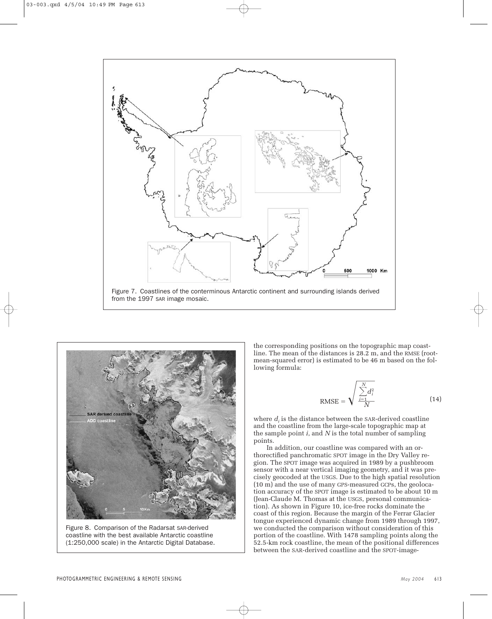



Figure 8. Comparison of the Radarsat SAR-derived coastline with the best available Antarctic coastline (1:250,000 scale) in the Antarctic Digital Database.

the corresponding positions on the topographic map coastline. The mean of the distances is 28.2 m, and the RMSE (rootmean-squared error) is estimated to be 46 m based on the following formula:

$$
RMSE = \sqrt{\frac{\sum_{i=1}^{N} d_i^2}{N}}
$$
 (14)

where *d<sub>i</sub>* is the distance between the SAR-derived coastline and the coastline from the large-scale topographic map at the sample point *i*, and *N* is the total number of sampling points.

In addition, our coastline was compared with an orthorectified panchromatic SPOT image in the Dry Valley region. The SPOT image was acquired in 1989 by a pushbroom sensor with a near vertical imaging geometry, and it was precisely geocoded at the USGS. Due to the high spatial resolution (10 m) and the use of many GPS-measured GCPs, the geolocation accuracy of the SPOT image is estimated to be about 10 m (Jean-Claude M. Thomas at the USGS, personal communication). As shown in Figure 10, ice-free rocks dominate the coast of this region. Because the margin of the Ferrar Glacier tongue experienced dynamic change from 1989 through 1997, we conducted the comparison without consideration of this portion of the coastline. With 1478 sampling points along the 52.5-km rock coastline, the mean of the positional differences between the SAR-derived coastline and the SPOT-image-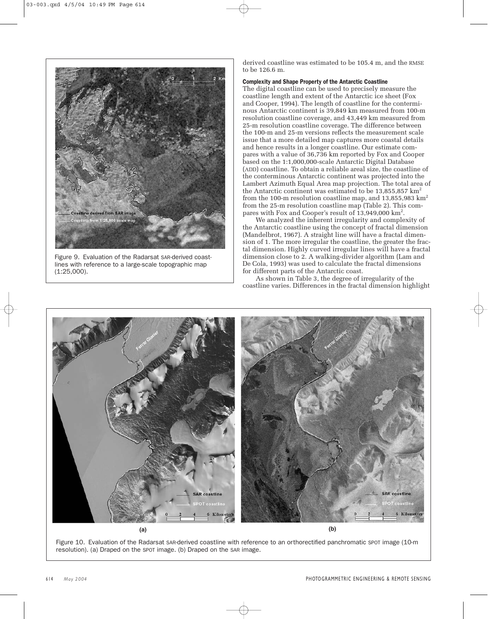

Figure 9. Evaluation of the Radarsat SAR-derived coastlines with reference to a large-scale topographic map (1:25,000).

derived coastline was estimated to be 105.4 m, and the RMSE to be 126.6 m.

## Complexity and Shape Property of the Antarctic Coastline

The digital coastline can be used to precisely measure the coastline length and extent of the Antarctic ice sheet (Fox and Cooper, 1994). The length of coastline for the conterminous Antarctic continent is 39,849 km measured from 100-m resolution coastline coverage, and 43,449 km measured from 25-m resolution coastline coverage. The difference between the 100-m and 25-m versions reflects the measurement scale issue that a more detailed map captures more coastal details and hence results in a longer coastline. Our estimate compares with a value of 36,736 km reported by Fox and Cooper based on the 1:1,000,000-scale Antarctic Digital Database (ADD) coastline. To obtain a reliable areal size, the coastline of the conterminous Antarctic continent was projected into the Lambert Azimuth Equal Area map projection. The total area of the Antarctic continent was estimated to be  $13,855,857 \text{ km}^2$ from the 100-m resolution coastline map, and  $13,855,983$  km<sup>2</sup> from the 25-m resolution coastline map (Table 2). This compares with Fox and Cooper's result of 13,949,000 km<sup>2</sup>.

We analyzed the inherent irregularity and complexity of the Antarctic coastline using the concept of fractal dimension (Mandelbrot, 1967). A straight line will have a fractal dimension of 1. The more irregular the coastline, the greater the fractal dimension. Highly curved irregular lines will have a fractal dimension close to 2. A walking-divider algorithm (Lam and De Cola, 1993) was used to calculate the fractal dimensions for different parts of the Antarctic coast.

As shown in Table 3, the degree of irregularity of the coastline varies. Differences in the fractal dimension highlight



Figure 10. Evaluation of the Radarsat SAR-derived coastline with reference to an orthorectified panchromatic SPOT image (10-m resolution). (a) Draped on the SPOT image. (b) Draped on the SAR image.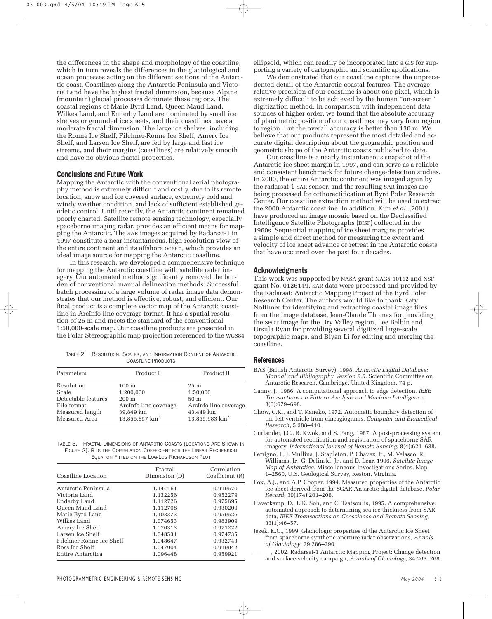the differences in the shape and morphology of the coastline, which in turn reveals the differences in the glaciological and ocean processes acting on the different sections of the Antarctic coast. Coastlines along the Antarctic Peninsula and Victoria Land have the highest fractal dimension, because Alpine (mountain) glacial processes dominate these regions. The coastal regions of Marie Byrd Land, Queen Maud Land, Wilkes Land, and Enderby Land are dominated by small ice shelves or grounded ice sheets, and their coastlines have a moderate fractal dimension. The large ice shelves, including the Ronne Ice Shelf, Filchner-Ronne Ice Shelf, Amery Ice Shelf, and Larsen Ice Shelf, are fed by large and fast ice streams, and their margins (coastlines) are relatively smooth and have no obvious fractal properties.

# Conclusions and Future Work

Mapping the Antarctic with the conventional aerial photography method is extremely difficult and costly, due to its remote location, snow and ice covered surface, extremely cold and windy weather condition, and lack of sufficient established geodetic control. Until recently, the Antarctic continent remained poorly charted. Satellite remote sensing technology, especially spaceborne imaging radar, provides an efficient means for mapping the Antarctic. The SAR images acquired by Radarsat-1 in 1997 constitute a near instantaneous, high-resolution view of the entire continent and its offshore ocean, which provides an ideal image source for mapping the Antarctic coastline.

In this research, we developed a comprehensive technique for mapping the Antarctic coastline with satellite radar imagery. Our automated method significantly removed the burden of conventional manual delineation methods. Successful batch processing of a large volume of radar image data demonstrates that our method is effective, robust, and efficient. Our final product is a complete vector map of the Antarctic coastline in ArcInfo line coverage format. It has a spatial resolution of 25 m and meets the standard of the conventional 1:50,000-scale map. Our coastline products are presented in the Polar Stereographic map projection referenced to the WGS84

TABLE 2. RESOLUTION, SCALES, AND INFORMATION CONTENT OF ANTARCTIC COASTLINE PRODUCTS

| Parameters          | Product I                  | Product II                   |
|---------------------|----------------------------|------------------------------|
| Resolution          | 100 <sub>m</sub>           | 25 <sub>m</sub>              |
| Scale               | 1:200,000                  | 1:50,000                     |
| Detectable features | $200 \text{ m}$            | 50 <sub>m</sub>              |
| File format         | ArcInfo line coverage      | ArcInfo line coverage        |
| Measured length     | 39,849 km                  | 43,449 km                    |
| Measured Area       | 13,855,857 km <sup>2</sup> | $13,855,983$ km <sup>2</sup> |

TABLE 3. FRACTAL DIMENSIONS OF ANTARCTIC COASTS (LOCATIONS ARE SHOWN IN FIGURE 2). R IS THE CORRELATION COEFFICIENT FOR THE LINEAR REGRESSION EQUATION FITTED ON THE LOG-LOG RICHARDSON PLOT

| Fractal<br>Dimension (D) | Correlation<br>Coefficient (R) |
|--------------------------|--------------------------------|
| 1.144161                 | 0.919570                       |
| 1.132256                 | 0.952279                       |
| 1.112726                 | 0.975695                       |
| 1.112708                 | 0.930209                       |
| 1.103373                 | 0.959526                       |
| 1.074653                 | 0.983909                       |
| 1.070313                 | 0.971222                       |
| 1.048531                 | 0.974735                       |
| 1.048647                 | 0.932743                       |
| 1.047904                 | 0.919942                       |
| 1.096448                 | 0.959921                       |
|                          |                                |

ellipsoid, which can readily be incorporated into a GIS for supporting a variety of cartographic and scientific applications.

We demonstrated that our coastline captures the unprecedented detail of the Antarctic coastal features. The average relative precision of our coastline is about one pixel, which is extremely difficult to be achieved by the human "on-screen" digitization method. In comparison with independent data sources of higher order, we found that the absolute accuracy of planimetric position of our coastlines may vary from region to region. But the overall accuracy is better than 130 m. We believe that our products represent the most detailed and accurate digital description about the geographic position and geometric shape of the Antarctic coasts published to date.

Our coastline is a nearly instantaneous snapshot of the Antarctic ice sheet margin in 1997, and can serve as a reliable and consistent benchmark for future change-detection studies. In 2000, the entire Antarctic continent was imaged again by the radarsat-1 SAR sensor, and the resulting SAR images are being processed for orthorectification at Byrd Polar Research Center. Our coastline extraction method will be used to extract the 2000 Antarctic coastline. In addition, Kim *et al.* (2001) have produced an image mosaic based on the Declassified Intelligence Satellite Photographs (DISP) collected in the 1960s. Sequential mapping of ice sheet margins provides a simple and direct method for measuring the extent and velocity of ice sheet advance or retreat in the Antarctic coasts that have occurred over the past four decades.

## Acknowledgments

This work was supported by NASA grant NAG5-10112 and NSF grant No. 0126149. SAR data were processed and provided by the Radarsat: Antarctic Mapping Project of the Byrd Polar Research Center. The authors would like to thank Katy Noltimer for identifying and extracting coastal image tiles from the image database, Jean-Claude Thomas for providing the SPOT image for the Dry Valley region, Lee Belbin and Ursula Ryan for providing several digitized large-scale topographic maps, and Biyan Li for editing and merging the coastline.

#### References

- BAS (British Antarctic Survey), 1998. *Antarctic Digital Database: Manual and Bibliography Version 2.0*, Scientific Committee on Antarctic Research, Cambridge, United Kingdom, 74 p.
- Canny, J., 1986. A computational approach to edge detection. *IEEE Transactions on Pattern Analysis and Machine Intelligence*, 8(6):679–698.
- Chow, C.K., and T. Kaneko, 1972. Automatic boundary detection of the left ventricle from cineagiograms, *Computer and Biomedical Research*, 5:388–410.
- Curlander, J.C., R. Kwok, and S. Pang, 1987. A post-processing system for automated rectification and registration of spaceborne SAR imagery, *International Journal of Remote Sensing*, 8(4):621–638.
- Ferrigno, J., J. Mullins, J. Stapleton, P. Chavez, Jr., M. Velasco, R. Williams, Jr., G. Delinski, Jr., and D. Lear, 1996. *Satellite Image Map of Antarctica*, Miscellaneous Investigations Series, Map 1–2560, U.S. Geological Survey, Reston, Virginia.
- Fox, A.J., and A.P. Cooper, 1994. Measured properties of the Antarctic ice sheet derived from the SCAR Antarctic digital database, *Polar Record*, 30(174):201–206.
- Haverkamp, D., L.K. Soh, and C. Tsatsoulis, 1995. A comprehensive, automated approach to determining sea ice thickness from SAR data, *IEEE Treansactions on Geoscience and Remote Sensing*, 33(1):46–57.
- Jezek, K.C., 1999. Glaciologic properties of the Antarctic Ice Sheet from spaceborne synthetic aperture radar observations, *Annals of Glaciology*, 29:286–290.
	- 2002. Radarsat-1 Antarctic Mapping Project: Change detection and surface velocity campaign, *Annals of Glaciology*, 34:263–268.